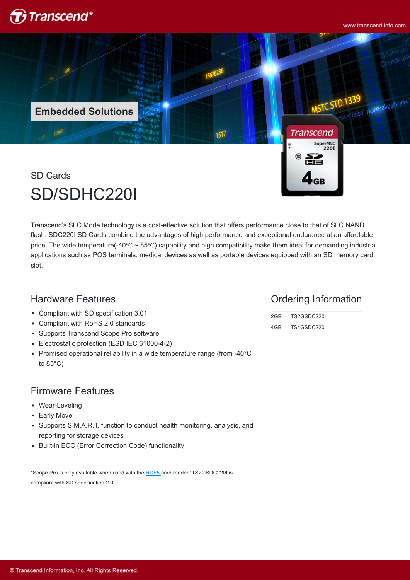

www.transcend-info.com

normalizatio

**Embedded SolutionsTranscend** 1517

SD Cards SD/SDHC220I

Transcend's SLC Mode technology is a cost-effective solution that offers performance close to that of SLC NAND flash. SDC220I SD Cards combine the advantages of high performance and exceptional endurance at an affordable price. The wide temperature(-40℃ ~ 85℃) capability and high compatibility make them ideal for demanding industrial applications such as POS terminals, medical devices as well as portable devices equipped with an SD memory card slot.

### Hardware Features

- Compliant with SD specification 3.01
- Compliant with RoHS 2.0 standards
- Supports Transcend Scope Pro software
- Electrostatic protection (ESD IEC 61000-4-2)
- Promised operational reliability in a wide temperature range (from -40°C to  $85^{\circ}$ C)

#### Firmware Features

- Wear-Leveling
- Early Move
- Supports S.M.A.R.T. function to conduct health monitoring, analysis, and reporting for storage devices
- Built-in ECC (Error Correction Code) functionality

\*Scope Pro is only available when used with the [RDF5](http://twms.transcend-info.com/Products/No-396) card reader.\*TS2GSDC220I is compliant with SD specification 2.0.

#### Ordering Information

SuperMLC<br>220I

| 2GB. | TS2GSDC220I |  |
|------|-------------|--|
| 4GB. | TS4GSDC220I |  |